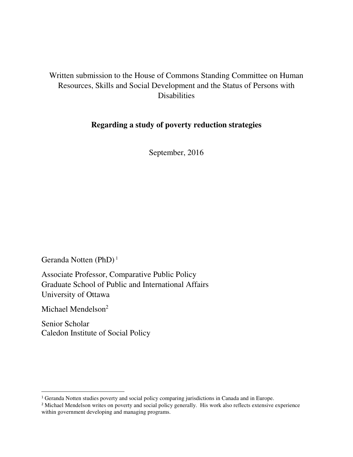# Written submission to the House of Commons Standing Committee on Human Resources, Skills and Social Development and the Status of Persons with Disabilities

## **Regarding a study of poverty reduction strategies**

September, 2016

Geranda Notten (PhD)<sup>1</sup>

Associate Professor, Comparative Public Policy Graduate School of Public and International Affairs University of Ottawa

Michael Mendelson<sup>2</sup>

 $\overline{a}$ 

Senior Scholar Caledon Institute of Social Policy

<sup>&</sup>lt;sup>1</sup> Geranda Notten studies poverty and social policy comparing jurisdictions in Canada and in Europe.

<sup>&</sup>lt;sup>2</sup> Michael Mendelson writes on poverty and social policy generally. His work also reflects extensive experience within government developing and managing programs.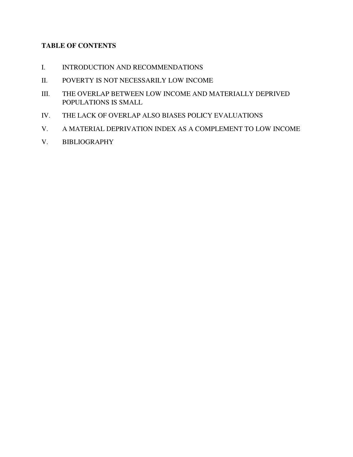## **TABLE OF CONTENTS**

- I. INTRODUCTION AND RECOMMENDATIONS
- II. POVERTY IS NOT NECESSARILY LOW INCOME
- III. THE OVERLAP BETWEEN LOW INCOME AND MATERIALLY DEPRIVED POPULATIONS IS SMALL
- IV. THE LACK OF OVERLAP ALSO BIASES POLICY EVALUATIONS
- V. A MATERIAL DEPRIVATION INDEX AS A COMPLEMENT TO LOW INCOME
- V. BIBLIOGRAPHY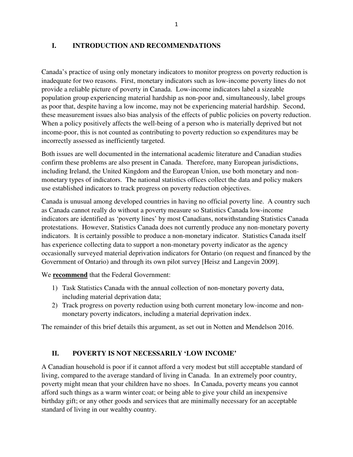#### **I. INTRODUCTION AND RECOMMENDATIONS**

Canada's practice of using only monetary indicators to monitor progress on poverty reduction is inadequate for two reasons. First, monetary indicators such as low-income poverty lines do not provide a reliable picture of poverty in Canada. Low-income indicators label a sizeable population group experiencing material hardship as non-poor and, simultaneously, label groups as poor that, despite having a low income, may not be experiencing material hardship. Second, these measurement issues also bias analysis of the effects of public policies on poverty reduction. When a policy positively affects the well-being of a person who is materially deprived but not income-poor, this is not counted as contributing to poverty reduction so expenditures may be incorrectly assessed as inefficiently targeted.

Both issues are well documented in the international academic literature and Canadian studies confirm these problems are also present in Canada. Therefore, many European jurisdictions, including Ireland, the United Kingdom and the European Union, use both monetary and nonmonetary types of indicators. The national statistics offices collect the data and policy makers use established indicators to track progress on poverty reduction objectives.

Canada is unusual among developed countries in having no official poverty line. A country such as Canada cannot really do without a poverty measure so Statistics Canada low-income indicators are identified as 'poverty lines' by most Canadians, notwithstanding Statistics Canada protestations. However, Statistics Canada does not currently produce any non-monetary poverty indicators. It is certainly possible to produce a non-monetary indicator. Statistics Canada itself has experience collecting data to support a non-monetary poverty indicator as the agency occasionally surveyed material deprivation indicators for Ontario (on request and financed by the Government of Ontario) and through its own pilot survey [Heisz and Langevin 2009].

We **recommend** that the Federal Government:

- 1) Task Statistics Canada with the annual collection of non-monetary poverty data, including material deprivation data;
- 2) Track progress on poverty reduction using both current monetary low-income and nonmonetary poverty indicators, including a material deprivation index.

The remainder of this brief details this argument, as set out in Notten and Mendelson 2016.

#### **II. POVERTY IS NOT NECESSARILY 'LOW INCOME'**

A Canadian household is poor if it cannot afford a very modest but still acceptable standard of living, compared to the average standard of living in Canada. In an extremely poor country, poverty might mean that your children have no shoes. In Canada, poverty means you cannot afford such things as a warm winter coat; or being able to give your child an inexpensive birthday gift; or any other goods and services that are minimally necessary for an acceptable standard of living in our wealthy country.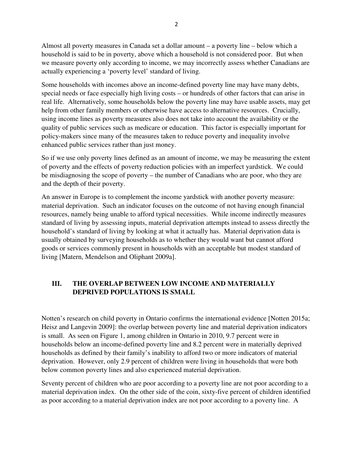Almost all poverty measures in Canada set a dollar amount – a poverty line – below which a household is said to be in poverty, above which a household is not considered poor. But when we measure poverty only according to income, we may incorrectly assess whether Canadians are actually experiencing a 'poverty level' standard of living.

Some households with incomes above an income-defined poverty line may have many debts, special needs or face especially high living costs – or hundreds of other factors that can arise in real life. Alternatively, some households below the poverty line may have usable assets, may get help from other family members or otherwise have access to alternative resources. Crucially, using income lines as poverty measures also does not take into account the availability or the quality of public services such as medicare or education. This factor is especially important for policy-makers since many of the measures taken to reduce poverty and inequality involve enhanced public services rather than just money.

So if we use only poverty lines defined as an amount of income, we may be measuring the extent of poverty and the effects of poverty reduction policies with an imperfect yardstick. We could be misdiagnosing the scope of poverty – the number of Canadians who are poor, who they are and the depth of their poverty.

An answer in Europe is to complement the income yardstick with another poverty measure: material deprivation. Such an indicator focuses on the outcome of not having enough financial resources, namely being unable to afford typical necessities. While income indirectly measures standard of living by assessing inputs, material deprivation attempts instead to assess directly the household's standard of living by looking at what it actually has. Material deprivation data is usually obtained by surveying households as to whether they would want but cannot afford goods or services commonly present in households with an acceptable but modest standard of living [Matern, Mendelson and Oliphant 2009a].

## **III. THE OVERLAP BETWEEN LOW INCOME AND MATERIALLY DEPRIVED POPULATIONS IS SMALL**

Notten's research on child poverty in Ontario confirms the international evidence [Notten 2015a; Heisz and Langevin 2009]: the overlap between poverty line and material deprivation indicators is small. As seen on Figure 1, among children in Ontario in 2010, 9.7 percent were in households below an income-defined poverty line and 8.2 percent were in materially deprived households as defined by their family's inability to afford two or more indicators of material deprivation. However, only 2.9 percent of children were living in households that were both below common poverty lines and also experienced material deprivation.

Seventy percent of children who are poor according to a poverty line are not poor according to a material deprivation index. On the other side of the coin, sixty-five percent of children identified as poor according to a material deprivation index are not poor according to a poverty line. A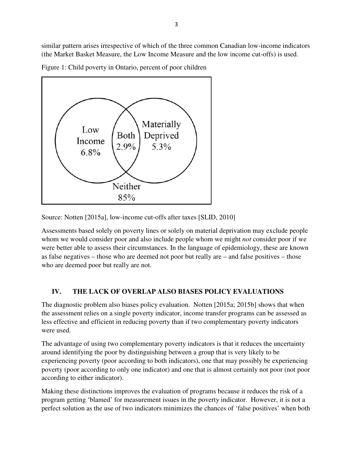similar pattern arises irrespective of which of the three common Canadian low-income indicators (the Market Basket Measure, the Low Income Measure and the low income cut-offs) is used.

Figure 1: Child poverty in Ontario, percent of poor children



Source: Notten [2015a], low-income cut-offs after taxes [SLID, 2010]

Assessments based solely on poverty lines or solely on material deprivation may exclude people whom we would consider poor and also include people whom we might *not* consider poor if we were better able to assess their circumstances. In the language of epidemiology, these are known as false negatives – those who are deemed not poor but really are – and false positives – those who are deemed poor but really are not.

## **IV. THE LACK OF OVERLAP ALSO BIASES POLICY EVALUATIONS**

The diagnostic problem also biases policy evaluation. Notten [2015a; 2015b] shows that when the assessment relies on a single poverty indicator, income transfer programs can be assessed as less effective and efficient in reducing poverty than if two complementary poverty indicators were used.

The advantage of using two complementary poverty indicators is that it reduces the uncertainty around identifying the poor by distinguishing between a group that is very likely to be experiencing poverty (poor according to both indicators), one that may possibly be experiencing poverty (poor according to only one indicator) and one that is almost certainly not poor (not poor according to either indicator).

Making these distinctions improves the evaluation of programs because it reduces the risk of a program getting 'blamed' for measurement issues in the poverty indicator. However, it is not a perfect solution as the use of two indicators minimizes the chances of 'false positives' when both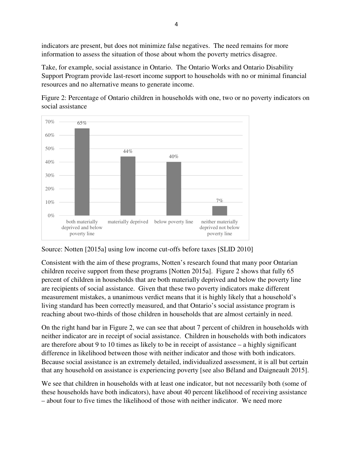indicators are present, but does not minimize false negatives. The need remains for more information to assess the situation of those about whom the poverty metrics disagree.

Take, for example, social assistance in Ontario. The Ontario Works and Ontario Disability Support Program provide last-resort income support to households with no or minimal financial resources and no alternative means to generate income.

Figure 2: Percentage of Ontario children in households with one, two or no poverty indicators on social assistance



Source: Notten [2015a] using low income cut-offs before taxes [SLID 2010]

Consistent with the aim of these programs, Notten's research found that many poor Ontarian children receive support from these programs [Notten 2015a]. Figure 2 shows that fully 65 percent of children in households that are both materially deprived and below the poverty line are recipients of social assistance. Given that these two poverty indicators make different measurement mistakes, a unanimous verdict means that it is highly likely that a household's living standard has been correctly measured, and that Ontario's social assistance program is reaching about two-thirds of those children in households that are almost certainly in need.

On the right hand bar in Figure 2, we can see that about 7 percent of children in households with neither indicator are in receipt of social assistance. Children in households with both indicators are therefore about 9 to 10 times as likely to be in receipt of assistance – a highly significant difference in likelihood between those with neither indicator and those with both indicators. Because social assistance is an extremely detailed, individualized assessment, it is all but certain that any household on assistance is experiencing poverty [see also Béland and Daigneault 2015].

We see that children in households with at least one indicator, but not necessarily both (some of these households have both indicators), have about 40 percent likelihood of receiving assistance – about four to five times the likelihood of those with neither indicator. We need more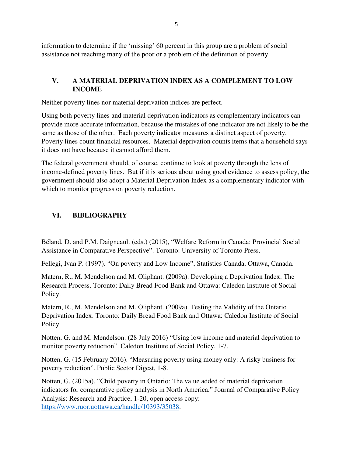information to determine if the 'missing' 60 percent in this group are a problem of social assistance not reaching many of the poor or a problem of the definition of poverty.

## **V. A MATERIAL DEPRIVATION INDEX AS A COMPLEMENT TO LOW INCOME**

Neither poverty lines nor material deprivation indices are perfect.

Using both poverty lines and material deprivation indicators as complementary indicators can provide more accurate information, because the mistakes of one indicator are not likely to be the same as those of the other. Each poverty indicator measures a distinct aspect of poverty. Poverty lines count financial resources. Material deprivation counts items that a household says it does not have because it cannot afford them.

The federal government should, of course, continue to look at poverty through the lens of income-defined poverty lines. But if it is serious about using good evidence to assess policy, the government should also adopt a Material Deprivation Index as a complementary indicator with which to monitor progress on poverty reduction.

## **VI. BIBLIOGRAPHY**

Béland, D. and P.M. Daigneault (eds.) (2015), "Welfare Reform in Canada: Provincial Social Assistance in Comparative Perspective". Toronto: University of Toronto Press.

Fellegi, Ivan P. (1997). "On poverty and Low Income", Statistics Canada, Ottawa, Canada.

Matern, R., M. Mendelson and M. Oliphant. (2009a). Developing a Deprivation Index: The Research Process. Toronto: Daily Bread Food Bank and Ottawa: Caledon Institute of Social Policy.

Matern, R., M. Mendelson and M. Oliphant. (2009a). Testing the Validity of the Ontario Deprivation Index. Toronto: Daily Bread Food Bank and Ottawa: Caledon Institute of Social Policy.

Notten, G. and M. Mendelson. (28 July 2016) "Using low income and material deprivation to monitor poverty reduction". Caledon Institute of Social Policy, 1-7.

Notten, G. (15 February 2016). "Measuring poverty using money only: A risky business for poverty reduction". Public Sector Digest, 1-8.

Notten, G. (2015a). "Child poverty in Ontario: The value added of material deprivation indicators for comparative policy analysis in North America." Journal of Comparative Policy Analysis: Research and Practice, 1-20, open access copy: https://www.ruor.uottawa.ca/handle/10393/35038.